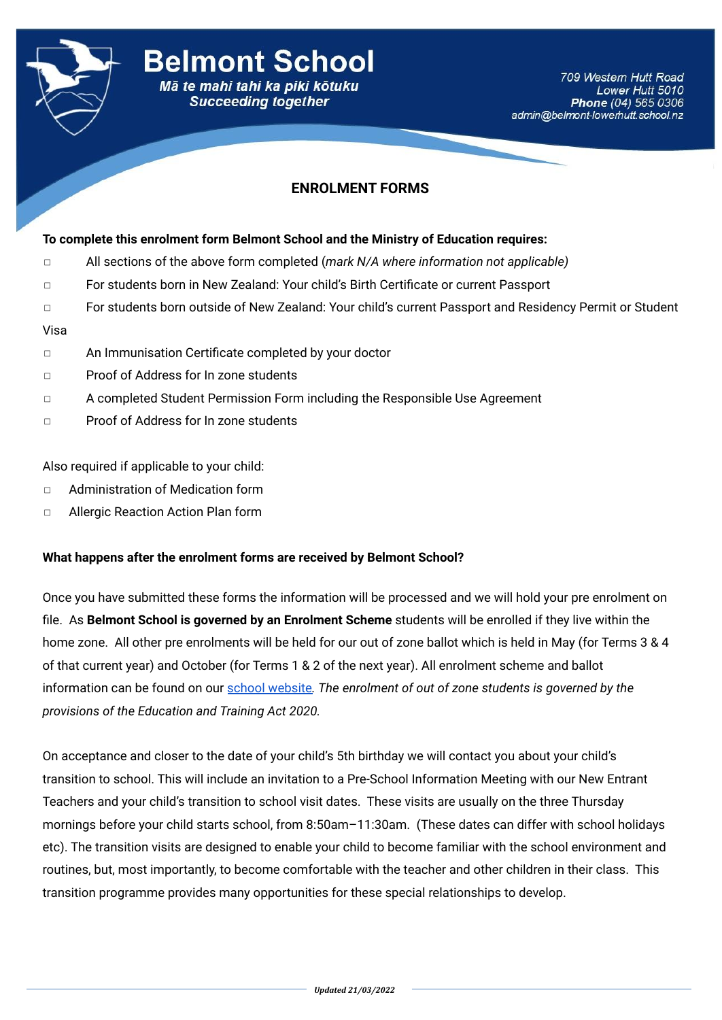

## **ENROLMENT FORMS**

#### **To complete this enrolment form Belmont School and the Ministry of Education requires:**

- ◻ All sections of the above form completed (*mark N/A where information not applicable)*
- ◻ For students born in New Zealand: Your child's Birth Certificate or current Passport
- ◻ For students born outside of New Zealand: Your child's current Passport and Residency Permit or Student

#### Visa

- ◻ An Immunisation Certificate completed by your doctor
- ◻ Proof of Address for In zone students
- ◻ A completed Student Permission Form including the Responsible Use Agreement
- ◻ Proof of Address for In zone students

#### Also required if applicable to your child:

- ◻ Administration of Medication form
- ◻ Allergic Reaction Action Plan form

#### **What happens after the enrolment forms are received by Belmont School?**

Once you have submitted these forms the information will be processed and we will hold your pre enrolment on file. As **Belmont School is governed by an Enrolment Scheme** students will be enrolled if they live within the home zone. All other pre enrolments will be held for our out of zone ballot which is held in May (for Terms 3 & 4 of that current year) and October (for Terms 1 & 2 of the next year). All enrolment scheme and ballot information can be found on our [school website](https://www.belmont-lowerhutt.school.nz/enrolment.html)*. The enrolment of out of zone students is governed by the provisions of the Education and Training Act 2020.*

On acceptance and closer to the date of your child's 5th birthday we will contact you about your child's transition to school. This will include an invitation to a Pre-School Information Meeting with our New Entrant Teachers and your child's transition to school visit dates. These visits are usually on the three Thursday mornings before your child starts school, from 8:50am–11:30am. (These dates can differ with school holidays etc). The transition visits are designed to enable your child to become familiar with the school environment and routines, but, most importantly, to become comfortable with the teacher and other children in their class. This transition programme provides many opportunities for these special relationships to develop.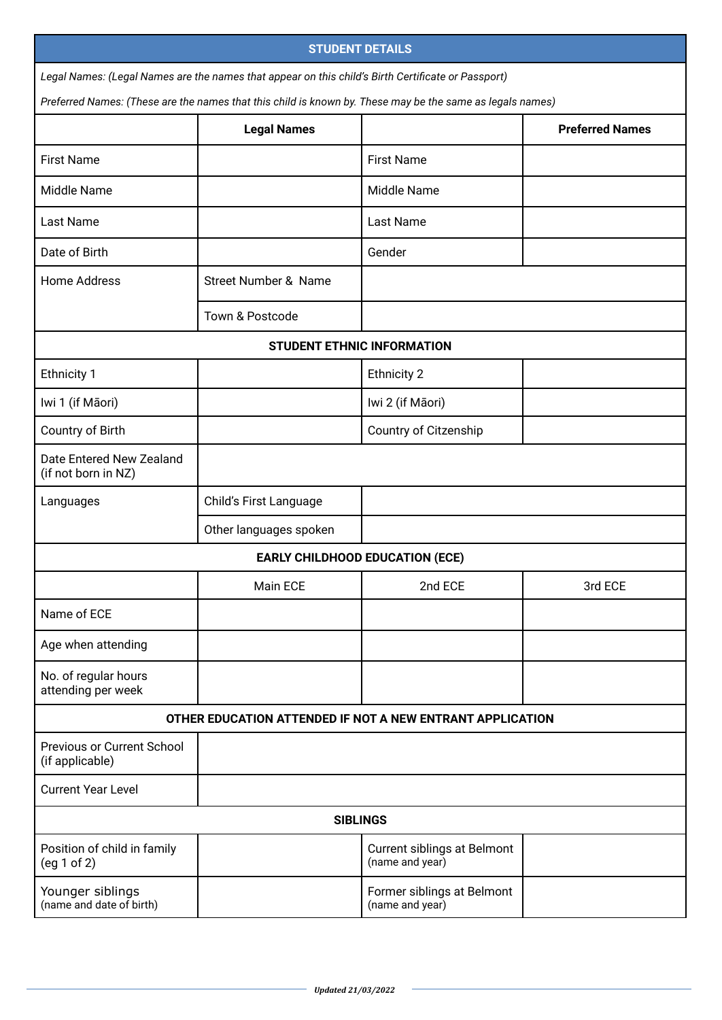| <b>STUDENT DETAILS</b>                                                                             |                                 |                                                                                                           |                        |
|----------------------------------------------------------------------------------------------------|---------------------------------|-----------------------------------------------------------------------------------------------------------|------------------------|
| Legal Names: (Legal Names are the names that appear on this child's Birth Certificate or Passport) |                                 |                                                                                                           |                        |
|                                                                                                    |                                 | Preferred Names: (These are the names that this child is known by. These may be the same as legals names) |                        |
|                                                                                                    | <b>Legal Names</b>              |                                                                                                           | <b>Preferred Names</b> |
| <b>First Name</b>                                                                                  |                                 | <b>First Name</b>                                                                                         |                        |
| <b>Middle Name</b>                                                                                 |                                 | Middle Name                                                                                               |                        |
| Last Name                                                                                          |                                 | Last Name                                                                                                 |                        |
| Date of Birth                                                                                      |                                 | Gender                                                                                                    |                        |
| <b>Home Address</b>                                                                                | <b>Street Number &amp; Name</b> |                                                                                                           |                        |
|                                                                                                    | Town & Postcode                 |                                                                                                           |                        |
| <b>STUDENT ETHNIC INFORMATION</b>                                                                  |                                 |                                                                                                           |                        |
| <b>Ethnicity 1</b>                                                                                 |                                 | <b>Ethnicity 2</b>                                                                                        |                        |
| Iwi 1 (if Māori)                                                                                   |                                 | Iwi 2 (if Māori)                                                                                          |                        |
| Country of Birth                                                                                   |                                 | Country of Citzenship                                                                                     |                        |
| Date Entered New Zealand<br>(if not born in NZ)                                                    |                                 |                                                                                                           |                        |
| Languages                                                                                          | Child's First Language          |                                                                                                           |                        |
|                                                                                                    | Other languages spoken          |                                                                                                           |                        |
|                                                                                                    |                                 | <b>EARLY CHILDHOOD EDUCATION (ECE)</b>                                                                    |                        |
|                                                                                                    | Main ECE                        | 2nd ECE                                                                                                   | 3rd ECE                |
| Name of ECE                                                                                        |                                 |                                                                                                           |                        |
| Age when attending                                                                                 |                                 |                                                                                                           |                        |
| No. of regular hours<br>attending per week                                                         |                                 |                                                                                                           |                        |
| OTHER EDUCATION ATTENDED IF NOT A NEW ENTRANT APPLICATION                                          |                                 |                                                                                                           |                        |
| <b>Previous or Current School</b><br>(if applicable)                                               |                                 |                                                                                                           |                        |
| <b>Current Year Level</b>                                                                          |                                 |                                                                                                           |                        |
| <b>SIBLINGS</b>                                                                                    |                                 |                                                                                                           |                        |
| Position of child in family<br>(eg 1 of 2)                                                         |                                 | Current siblings at Belmont<br>(name and year)                                                            |                        |
| Younger siblings<br>(name and date of birth)                                                       |                                 | Former siblings at Belmont<br>(name and year)                                                             |                        |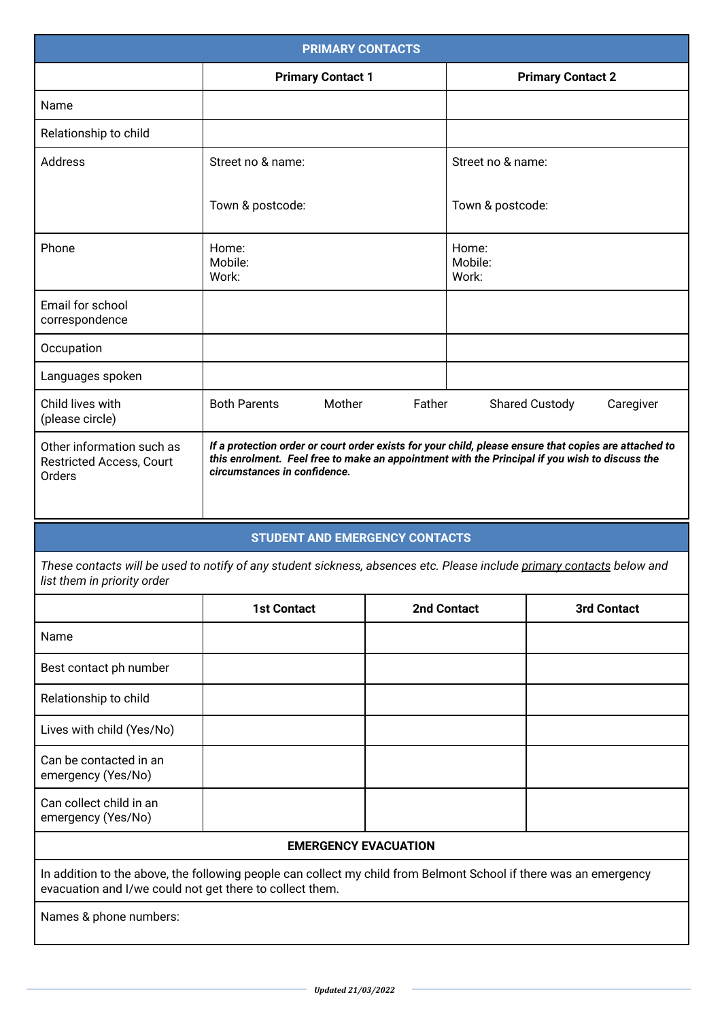| <b>PRIMARY CONTACTS</b>                                                                                                                                                       |                                                                                                                                                                                                                                         |                    |                           |                                    |
|-------------------------------------------------------------------------------------------------------------------------------------------------------------------------------|-----------------------------------------------------------------------------------------------------------------------------------------------------------------------------------------------------------------------------------------|--------------------|---------------------------|------------------------------------|
|                                                                                                                                                                               | <b>Primary Contact 1</b>                                                                                                                                                                                                                |                    | <b>Primary Contact 2</b>  |                                    |
| Name                                                                                                                                                                          |                                                                                                                                                                                                                                         |                    |                           |                                    |
| Relationship to child                                                                                                                                                         |                                                                                                                                                                                                                                         |                    |                           |                                    |
| <b>Address</b>                                                                                                                                                                | Street no & name:                                                                                                                                                                                                                       |                    | Street no & name:         |                                    |
|                                                                                                                                                                               | Town & postcode:                                                                                                                                                                                                                        |                    | Town & postcode:          |                                    |
| Phone                                                                                                                                                                         | Home:<br>Mobile:<br>Work:                                                                                                                                                                                                               |                    | Home:<br>Mobile:<br>Work: |                                    |
| Email for school<br>correspondence                                                                                                                                            |                                                                                                                                                                                                                                         |                    |                           |                                    |
| Occupation                                                                                                                                                                    |                                                                                                                                                                                                                                         |                    |                           |                                    |
| Languages spoken                                                                                                                                                              |                                                                                                                                                                                                                                         |                    |                           |                                    |
| Child lives with<br>(please circle)                                                                                                                                           | <b>Both Parents</b><br>Mother                                                                                                                                                                                                           | Father             |                           | <b>Shared Custody</b><br>Caregiver |
| Other information such as<br>Restricted Access, Court<br>Orders                                                                                                               | If a protection order or court order exists for your child, please ensure that copies are attached to<br>this enrolment. Feel free to make an appointment with the Principal if you wish to discuss the<br>circumstances in confidence. |                    |                           |                                    |
|                                                                                                                                                                               | <b>STUDENT AND EMERGENCY CONTACTS</b>                                                                                                                                                                                                   |                    |                           |                                    |
| These contacts will be used to notify of any student sickness, absences etc. Please include primary contacts below and<br>list them in priority order                         |                                                                                                                                                                                                                                         |                    |                           |                                    |
|                                                                                                                                                                               | <b>1st Contact</b>                                                                                                                                                                                                                      | <b>2nd Contact</b> |                           | <b>3rd Contact</b>                 |
| Name                                                                                                                                                                          |                                                                                                                                                                                                                                         |                    |                           |                                    |
| Best contact ph number                                                                                                                                                        |                                                                                                                                                                                                                                         |                    |                           |                                    |
| Relationship to child                                                                                                                                                         |                                                                                                                                                                                                                                         |                    |                           |                                    |
| Lives with child (Yes/No)                                                                                                                                                     |                                                                                                                                                                                                                                         |                    |                           |                                    |
| Can be contacted in an<br>emergency (Yes/No)                                                                                                                                  |                                                                                                                                                                                                                                         |                    |                           |                                    |
| Can collect child in an<br>emergency (Yes/No)                                                                                                                                 |                                                                                                                                                                                                                                         |                    |                           |                                    |
| <b>EMERGENCY EVACUATION</b>                                                                                                                                                   |                                                                                                                                                                                                                                         |                    |                           |                                    |
| In addition to the above, the following people can collect my child from Belmont School if there was an emergency<br>evacuation and I/we could not get there to collect them. |                                                                                                                                                                                                                                         |                    |                           |                                    |
| Names & phone numbers:                                                                                                                                                        |                                                                                                                                                                                                                                         |                    |                           |                                    |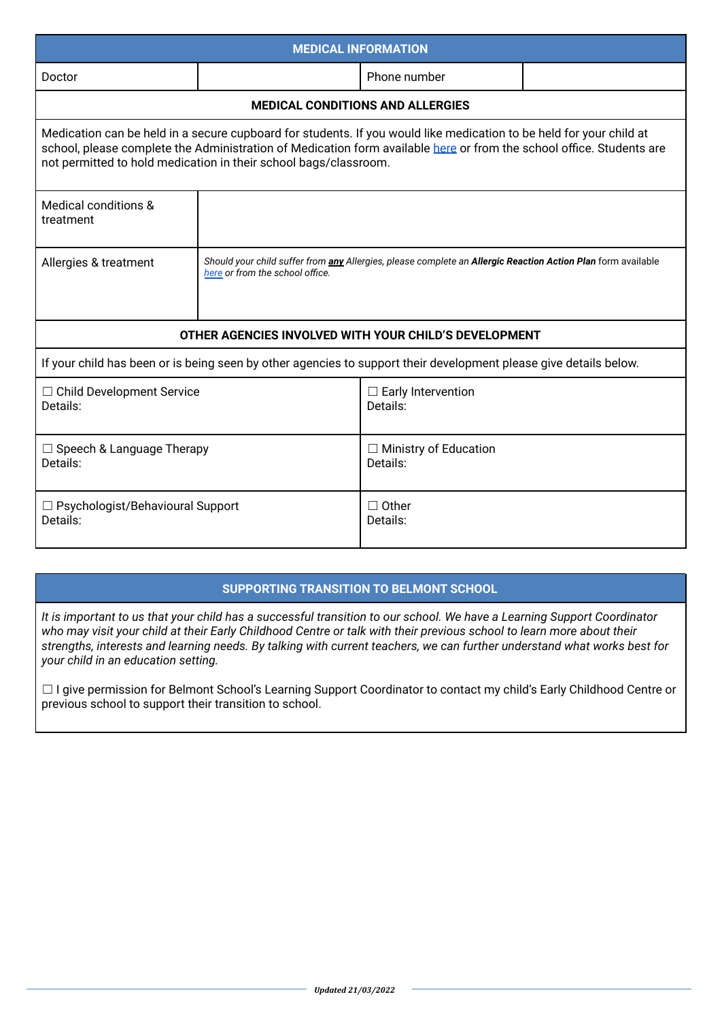| <b>MEDICAL INFORMATION</b>                                                                                                                                                                                                                                                                                      |                                                                                                                                                               |                                          |  |
|-----------------------------------------------------------------------------------------------------------------------------------------------------------------------------------------------------------------------------------------------------------------------------------------------------------------|---------------------------------------------------------------------------------------------------------------------------------------------------------------|------------------------------------------|--|
| Doctor                                                                                                                                                                                                                                                                                                          |                                                                                                                                                               | Phone number                             |  |
| <b>MEDICAL CONDITIONS AND ALLERGIES</b>                                                                                                                                                                                                                                                                         |                                                                                                                                                               |                                          |  |
| Medication can be held in a secure cupboard for students. If you would like medication to be held for your child at<br>school, please complete the Administration of Medication form available here or from the school office. Students are<br>not permitted to hold medication in their school bags/classroom. |                                                                                                                                                               |                                          |  |
| Medical conditions &<br>treatment                                                                                                                                                                                                                                                                               |                                                                                                                                                               |                                          |  |
| Allergies & treatment                                                                                                                                                                                                                                                                                           | Should your child suffer from <i>any</i> Allergies, please complete an <b>Allergic Reaction Action Plan</b> form available<br>here or from the school office. |                                          |  |
| OTHER AGENCIES INVOLVED WITH YOUR CHILD'S DEVELOPMENT                                                                                                                                                                                                                                                           |                                                                                                                                                               |                                          |  |
| If your child has been or is being seen by other agencies to support their development please give details below.                                                                                                                                                                                               |                                                                                                                                                               |                                          |  |
| □ Child Development Service<br>Details:                                                                                                                                                                                                                                                                         |                                                                                                                                                               | $\Box$ Early Intervention<br>Details:    |  |
| $\Box$ Speech & Language Therapy<br>Details:                                                                                                                                                                                                                                                                    |                                                                                                                                                               | $\Box$ Ministry of Education<br>Details: |  |
| $\Box$ Psychologist/Behavioural Support<br>Details:                                                                                                                                                                                                                                                             |                                                                                                                                                               | $\Box$ Other<br>Details:                 |  |

## **SUPPORTING TRANSITION TO BELMONT SCHOOL**

It is important to us that your child has a successful transition to our school. We have a Learning Support Coordinator who may visit your child at their Early Childhood Centre or talk with their previous school to learn more about their strengths, interests and learning needs. By talking with current teachers, we can further understand what works best for *your child in an education setting.*

□ I give permission for Belmont School's Learning Support Coordinator to contact my child's Early Childhood Centre or previous school to support their transition to school.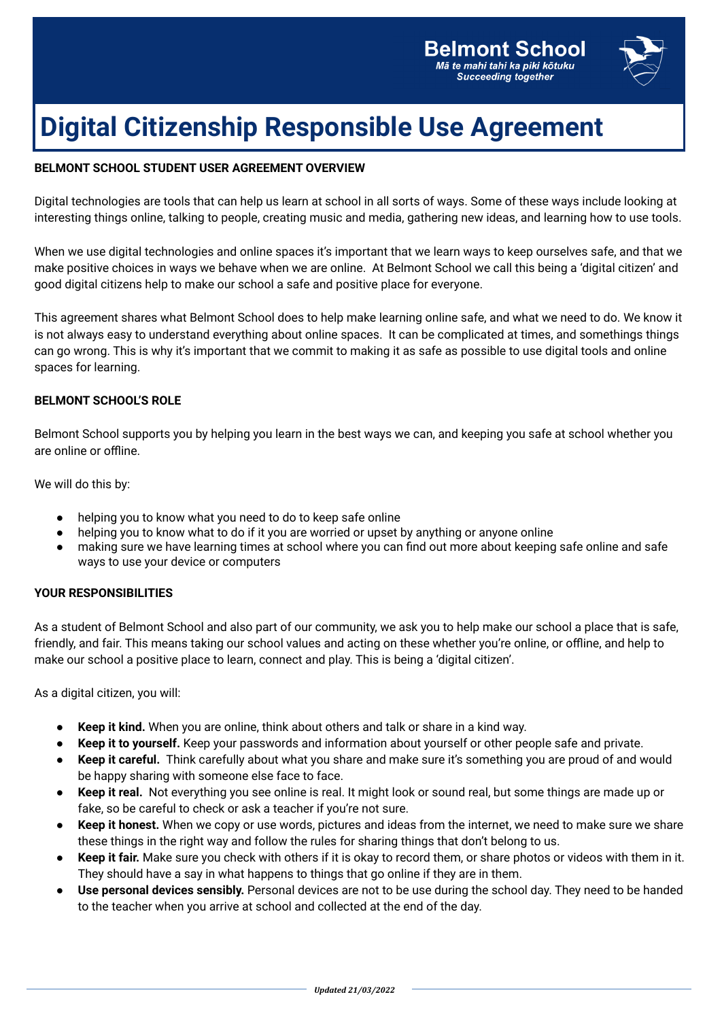

## **Digital Citizenship Responsible Use Agreement**

### **BELMONT SCHOOL STUDENT USER AGREEMENT OVERVIEW**

Digital technologies are tools that can help us learn at school in all sorts of ways. Some of these ways include looking at interesting things online, talking to people, creating music and media, gathering new ideas, and learning how to use tools.

When we use digital technologies and online spaces it's important that we learn ways to keep ourselves safe, and that we make positive choices in ways we behave when we are online. At Belmont School we call this being a 'digital citizen' and good digital citizens help to make our school a safe and positive place for everyone.

This agreement shares what Belmont School does to help make learning online safe, and what we need to do. We know it is not always easy to understand everything about online spaces. It can be complicated at times, and somethings things can go wrong. This is why it's important that we commit to making it as safe as possible to use digital tools and online spaces for learning.

#### **BELMONT SCHOOL'S ROLE**

Belmont School supports you by helping you learn in the best ways we can, and keeping you safe at school whether you are online or offline.

We will do this by:

- helping you to know what you need to do to keep safe online
- helping you to know what to do if it you are worried or upset by anything or anyone online
- making sure we have learning times at school where you can find out more about keeping safe online and safe ways to use your device or computers

#### **YOUR RESPONSIBILITIES**

As a student of Belmont School and also part of our community, we ask you to help make our school a place that is safe, friendly, and fair. This means taking our school values and acting on these whether you're online, or offline, and help to make our school a positive place to learn, connect and play. This is being a 'digital citizen'.

As a digital citizen, you will:

- **Keep it kind.** When you are online, think about others and talk or share in a kind way.
- **Keep it to yourself.** Keep your passwords and information about yourself or other people safe and private.
- **Keep it careful.** Think carefully about what you share and make sure it's something you are proud of and would be happy sharing with someone else face to face.
- **Keep it real.** Not everything you see online is real. It might look or sound real, but some things are made up or fake, so be careful to check or ask a teacher if you're not sure.
- **Keep it honest.** When we copy or use words, pictures and ideas from the internet, we need to make sure we share these things in the right way and follow the rules for sharing things that don't belong to us.
- Keep it fair. Make sure you check with others if it is okay to record them, or share photos or videos with them in it. They should have a say in what happens to things that go online if they are in them.
- **Use personal devices sensibly.** Personal devices are not to be use during the school day. They need to be handed to the teacher when you arrive at school and collected at the end of the day.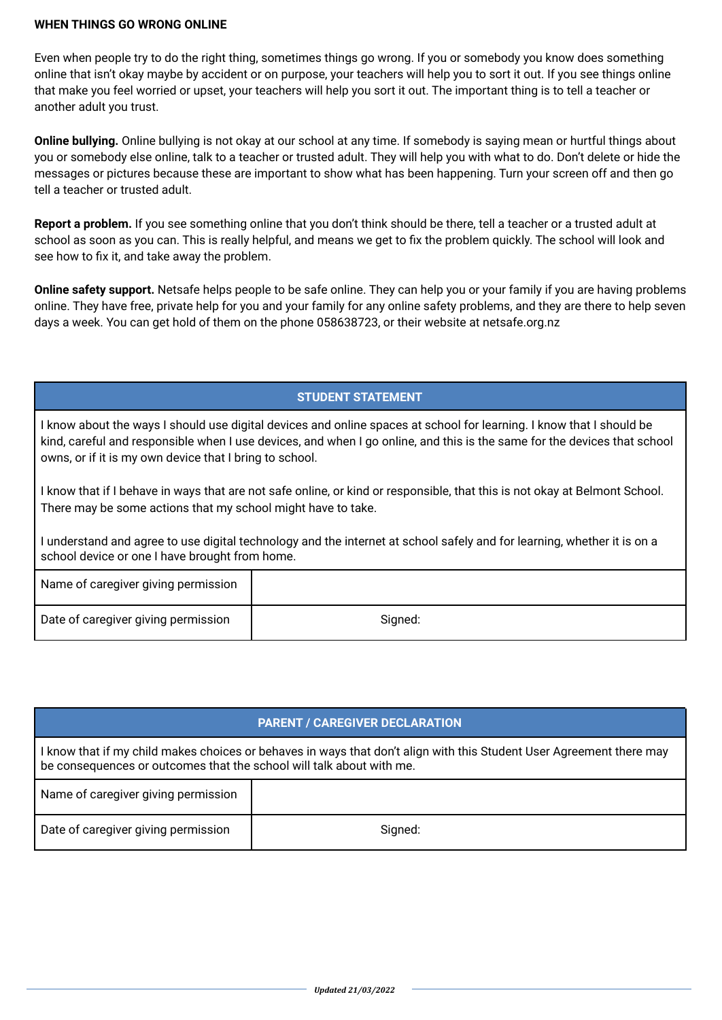#### **WHEN THINGS GO WRONG ONLINE**

Even when people try to do the right thing, sometimes things go wrong. If you or somebody you know does something online that isn't okay maybe by accident or on purpose, your teachers will help you to sort it out. If you see things online that make you feel worried or upset, your teachers will help you sort it out. The important thing is to tell a teacher or another adult you trust.

**Online bullying.** Online bullying is not okay at our school at any time. If somebody is saying mean or hurtful things about you or somebody else online, talk to a teacher or trusted adult. They will help you with what to do. Don't delete or hide the messages or pictures because these are important to show what has been happening. Turn your screen off and then go tell a teacher or trusted adult.

**Report a problem.** If you see something online that you don't think should be there, tell a teacher or a trusted adult at school as soon as you can. This is really helpful, and means we get to fix the problem quickly. The school will look and see how to fix it, and take away the problem.

**Online safety support.** Netsafe helps people to be safe online. They can help you or your family if you are having problems online. They have free, private help for you and your family for any online safety problems, and they are there to help seven days a week. You can get hold of them on the phone 058638723, or their website at netsafe.org.nz

## **STUDENT STATEMENT**

I know about the ways I should use digital devices and online spaces at school for learning. I know that I should be kind, careful and responsible when I use devices, and when I go online, and this is the same for the devices that school owns, or if it is my own device that I bring to school.

I know that if I behave in ways that are not safe online, or kind or responsible, that this is not okay at Belmont School. There may be some actions that my school might have to take.

I understand and agree to use digital technology and the internet at school safely and for learning, whether it is on a school device or one I have brought from home.

| Name of caregiver giving permission |         |
|-------------------------------------|---------|
| Date of caregiver giving permission | Signed: |

## **PARENT / CAREGIVER DECLARATION**

I know that if my child makes choices or behaves in ways that don't align with this Student User Agreement there may be consequences or outcomes that the school will talk about with me.

| Name of caregiver giving permission |         |
|-------------------------------------|---------|
| Date of caregiver giving permission | Signed: |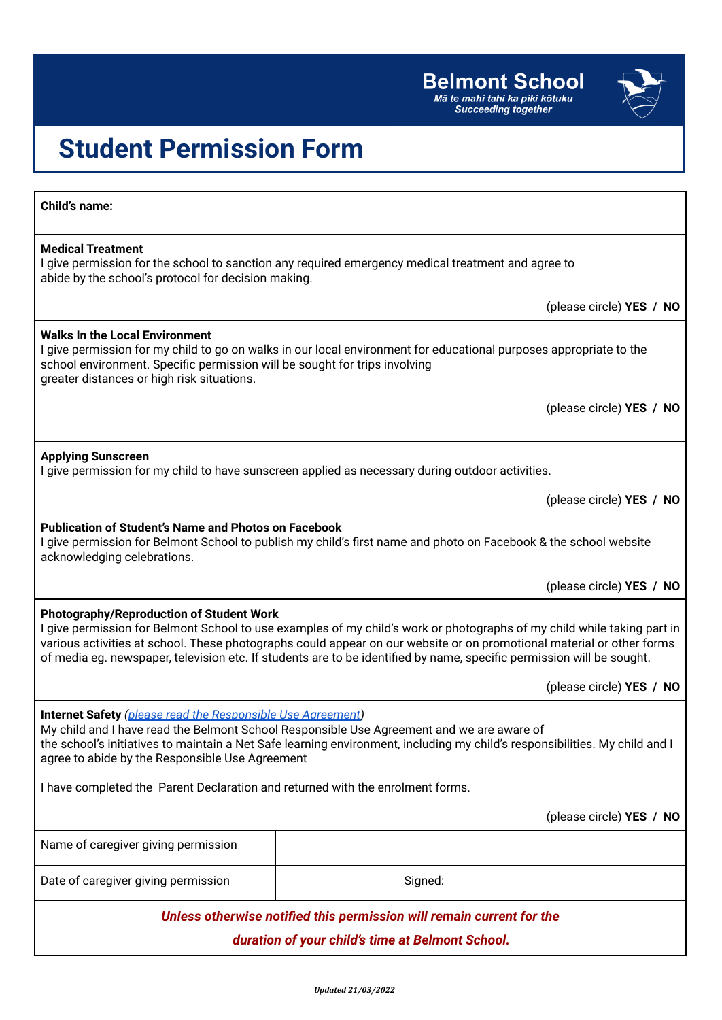

# **Student Permission Form**

| <b>Child's name:</b>                                                                                                                                                                                                                                                                                                                                                                                                         |                          |  |
|------------------------------------------------------------------------------------------------------------------------------------------------------------------------------------------------------------------------------------------------------------------------------------------------------------------------------------------------------------------------------------------------------------------------------|--------------------------|--|
| <b>Medical Treatment</b><br>I give permission for the school to sanction any required emergency medical treatment and agree to<br>abide by the school's protocol for decision making.                                                                                                                                                                                                                                        |                          |  |
|                                                                                                                                                                                                                                                                                                                                                                                                                              | (please circle) YES / NO |  |
| <b>Walks In the Local Environment</b><br>I give permission for my child to go on walks in our local environment for educational purposes appropriate to the<br>school environment. Specific permission will be sought for trips involving<br>greater distances or high risk situations.                                                                                                                                      |                          |  |
|                                                                                                                                                                                                                                                                                                                                                                                                                              | (please circle) YES / NO |  |
| <b>Applying Sunscreen</b><br>I give permission for my child to have sunscreen applied as necessary during outdoor activities.                                                                                                                                                                                                                                                                                                |                          |  |
|                                                                                                                                                                                                                                                                                                                                                                                                                              | (please circle) YES / NO |  |
| <b>Publication of Student's Name and Photos on Facebook</b><br>I give permission for Belmont School to publish my child's first name and photo on Facebook & the school website<br>acknowledging celebrations.                                                                                                                                                                                                               |                          |  |
|                                                                                                                                                                                                                                                                                                                                                                                                                              | (please circle) YES / NO |  |
| <b>Photography/Reproduction of Student Work</b><br>I give permission for Belmont School to use examples of my child's work or photographs of my child while taking part in<br>various activities at school. These photographs could appear on our website or on promotional material or other forms<br>of media eg. newspaper, television etc. If students are to be identified by name, specific permission will be sought. |                          |  |
|                                                                                                                                                                                                                                                                                                                                                                                                                              | (please circle) YES / NO |  |
| <b>Internet Safety</b> (please read the Responsible Use Agreement)<br>My child and I have read the Belmont School Responsible Use Agreement and we are aware of<br>the school's initiatives to maintain a Net Safe learning environment, including my child's responsibilities. My child and I<br>agree to abide by the Responsible Use Agreement                                                                            |                          |  |
| I have completed the Parent Declaration and returned with the enrolment forms.                                                                                                                                                                                                                                                                                                                                               |                          |  |
|                                                                                                                                                                                                                                                                                                                                                                                                                              | (please circle) YES / NO |  |
| Name of caregiver giving permission                                                                                                                                                                                                                                                                                                                                                                                          |                          |  |
| Date of caregiver giving permission                                                                                                                                                                                                                                                                                                                                                                                          | Signed:                  |  |
| Unless otherwise notified this permission will remain current for the                                                                                                                                                                                                                                                                                                                                                        |                          |  |
| duration of your child's time at Belmont School.                                                                                                                                                                                                                                                                                                                                                                             |                          |  |